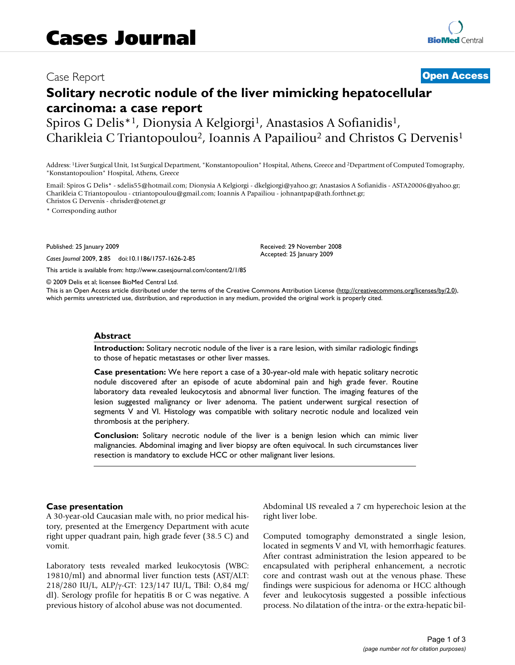# Case Report **[Open Access](http://www.biomedcentral.com/info/about/charter/)**

# **Solitary necrotic nodule of the liver mimicking hepatocellular carcinoma: a case report**

Spiros G Delis<sup>\*1</sup>, Dionysia A Kelgiorgi<sup>1</sup>, Anastasios A Sofianidis<sup>1</sup>, Charikleia C Triantopoulou2, Ioannis A Papailiou2 and Christos G Dervenis1

Address: 1Liver Surgical Unit, 1st Surgical Department, "Konstantopoulion" Hospital, Athens, Greece and 2Department of Computed Tomography, "Konstantopoulion" Hospital, Athens, Greece

Email: Spiros G Delis\* - sdelis55@hotmail.com; Dionysia A Kelgiorgi - dkelgiorgi@yahoo.gr; Anastasios A Sofianidis - ASTA20006@yahoo.gr; Charikleia C Triantopoulou - ctriantopoulou@gmail.com; Ioannis A Papailiou - johnantpap@ath.forthnet.gr; Christos G Dervenis - chrisder@otenet.gr

> Received: 29 November 2008 Accepted: 25 January 2009

\* Corresponding author

Published: 25 January 2009

*Cases Journal* 2009, **2**:85 doi:10.1186/1757-1626-2-85

[This article is available from: http://www.casesjournal.com/content/2/1/85](http://www.casesjournal.com/content/2/1/85)

© 2009 Delis et al; licensee BioMed Central Ltd.

This is an Open Access article distributed under the terms of the Creative Commons Attribution License [\(http://creativecommons.org/licenses/by/2.0\)](http://creativecommons.org/licenses/by/2.0), which permits unrestricted use, distribution, and reproduction in any medium, provided the original work is properly cited.

#### **Abstract**

**Introduction:** Solitary necrotic nodule of the liver is a rare lesion, with similar radiologic findings to those of hepatic metastases or other liver masses.

**Case presentation:** We here report a case of a 30-year-old male with hepatic solitary necrotic nodule discovered after an episode of acute abdominal pain and high grade fever. Routine laboratory data revealed leukocytosis and abnormal liver function. The imaging features of the lesion suggested malignancy or liver adenoma. The patient underwent surgical resection of segments V and VI. Histology was compatible with solitary necrotic nodule and localized vein thrombosis at the periphery.

**Conclusion:** Solitary necrotic nodule of the liver is a benign lesion which can mimic liver malignancies. Abdominal imaging and liver biopsy are often equivocal. In such circumstances liver resection is mandatory to exclude HCC or other malignant liver lesions.

#### **Case presentation**

A 30-year-old Caucasian male with, no prior medical history, presented at the Emergency Department with acute right upper quadrant pain, high grade fever (38.5 C) and vomit.

Laboratory tests revealed marked leukocytosis (WBC: 19810/ml) and abnormal liver function tests (AST/ALT: 218/280 IU/L, ALP/γ-GT: 123/147 IU/L, TBil: O,84 mg/ dl). Serology profile for hepatitis B or C was negative. A previous history of alcohol abuse was not documented.

Abdominal US revealed a 7 cm hyperechoic lesion at the right liver lobe.

Computed tomography demonstrated a single lesion, located in segments V and VI, with hemorrhagic features. After contrast administration the lesion appeared to be encapsulated with peripheral enhancement, a necrotic core and contrast wash out at the venous phase. These findings were suspicious for adenoma or HCC although fever and leukocytosis suggested a possible infectious process. No dilatation of the intra- or the extra-hepatic bil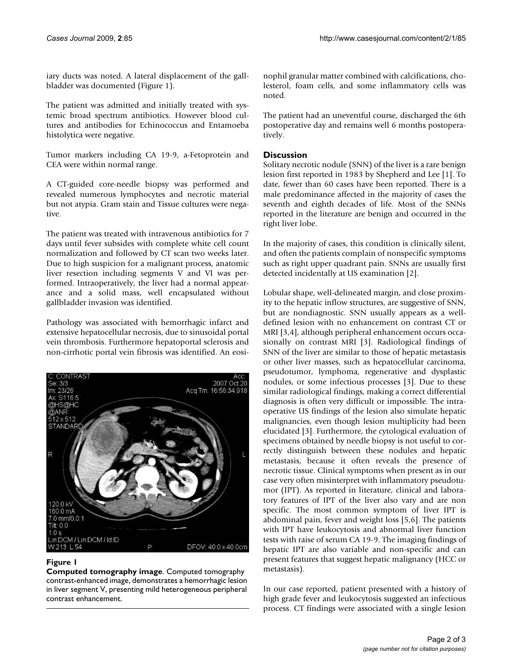iary ducts was noted. A lateral displacement of the gallbladder was documented (Figure 1).

The patient was admitted and initially treated with systemic broad spectrum antibiotics. However blood cultures and antibodies for Echinococcus and Entamoeba histolytica were negative.

Tumor markers including CA 19-9, a-Fetoprotein and CEA were within normal range.

A CT-guided core-needle biopsy was performed and revealed numerous lymphocytes and necrotic material but not atypia. Gram stain and Tissue cultures were negative.

The patient was treated with intravenous antibiotics for 7 days until fever subsides with complete white cell count normalization and followed by CT scan two weeks later. Due to high suspicion for a malignant process, anatomic liver resection including segments V and VI was performed. Intraoperatively, the liver had a normal appearance and a solid mass, well encapsulated without gallbladder invasion was identified.

Pathology was associated with hemorrhagic infarct and extensive hepatocellular necrosis, due to sinusoidal portal vein thrombosis. Furthermore hepatoportal sclerosis and non-cirrhotic portal vein fibrosis was identified. An eosi-



## **Figure 1**

**Computed tomography image**. Computed tomography contrast-enhanced image, demonstrates a hemorrhagic lesion in liver segment V, presenting mild heterogeneous peripheral contrast enhancement.

nophil granular matter combined with calcifications, cholesterol, foam cells, and some inflammatory cells was noted.

The patient had an uneventful course, discharged the 6th postoperative day and remains well 6 months postoperatively.

# **Discussion**

Solitary necrotic nodule (SNN) of the liver is a rare benign lesion first reported in 1983 by Shepherd and Lee [1]. To date, fewer than 60 cases have been reported. There is a male predominance affected in the majority of cases the seventh and eighth decades of life. Most of the SNNs reported in the literature are benign and occurred in the right liver lobe.

In the majority of cases, this condition is clinically silent, and often the patients complain of nonspecific symptoms such as right upper quadrant pain. SNNs are usually first detected incidentally at US examination [2].

Lobular shape, well-delineated margin, and close proximity to the hepatic inflow structures, are suggestive of SNN, but are nondiagnostic. SNN usually appears as a welldefined lesion with no enhancement on contrast CT or MRI [3,4], although peripheral enhancement occurs occasionally on contrast MRI [3]. Radiological findings of SNN of the liver are similar to those of hepatic metastasis or other liver masses, such as hepatocellular carcinoma, pseudotumor, lymphoma, regenerative and dysplastic nodules, or some infectious processes [3]. Due to these similar radiological findings, making a correct differential diagnosis is often very difficult or impossible. The intraoperative US findings of the lesion also simulate hepatic malignancies, even though lesion multiplicity had been elucidated [3]. Furthermore, the cytological evaluation of specimens obtained by needle biopsy is not useful to correctly distinguish between these nodules and hepatic metastasis, because it often reveals the presence of necrotic tissue. Clinical symptoms when present as in our case very often misinterpret with inflammatory pseudotumor (IPT). As reported in literature, clinical and laboratory features of IPT of the liver also vary and are non specific. The most common symptom of liver IPT is abdominal pain, fever and weight loss [5,6]. The patients with IPT have leukocytosis and abnormal liver function tests with raise of serum CA 19-9. The imaging findings of hepatic IPT are also variable and non-specific and can present features that suggest hepatic malignancy (HCC or metastasis).

In our case reported, patient presented with a history of high grade fever and leukocytosis suggested an infectious process. CT findings were associated with a single lesion